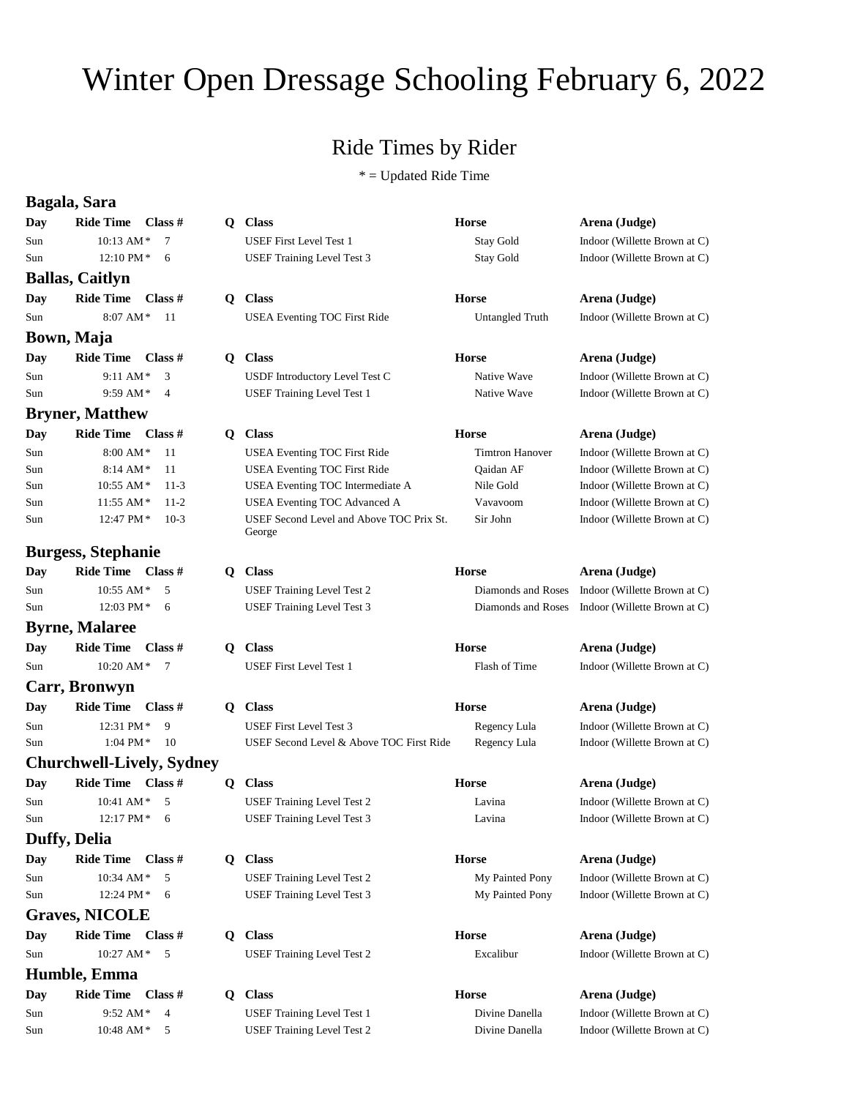## Winter Open Dressage Schooling February 6, 2022

## Ride Times by Rider

 $*$  = Updated Ride Time

|            | Bagala, Sara                     |              |                                                    |                        |                              |
|------------|----------------------------------|--------------|----------------------------------------------------|------------------------|------------------------------|
| Day        | <b>Ride Time</b><br>Class #      | $\mathbf{Q}$ | <b>Class</b>                                       | <b>Horse</b>           | Arena (Judge)                |
| Sun        | 10:13 AM*<br>7                   |              | <b>USEF First Level Test 1</b>                     | Stay Gold              | Indoor (Willette Brown at C) |
| Sun        | 12:10 PM*<br>6                   |              | USEF Training Level Test 3                         | <b>Stay Gold</b>       | Indoor (Willette Brown at C) |
|            | <b>Ballas, Caitlyn</b>           |              |                                                    |                        |                              |
| Day        | <b>Ride Time</b><br>Class $#$    | $\mathbf{Q}$ | <b>Class</b>                                       | <b>Horse</b>           | Arena (Judge)                |
| Sun        | 8:07 AM*<br>11                   |              | <b>USEA Eventing TOC First Ride</b>                | Untangled Truth        | Indoor (Willette Brown at C) |
|            | Bown, Maja                       |              |                                                    |                        |                              |
| Day        | <b>Ride Time</b><br>Class #      |              | Q Class                                            | <b>Horse</b>           | Arena (Judge)                |
| Sun        | 9:11 AM*<br>3                    |              | USDF Introductory Level Test C                     | Native Wave            | Indoor (Willette Brown at C) |
| Sun        | 9:59 AM*<br>$\overline{4}$       |              | <b>USEF Training Level Test 1</b>                  | Native Wave            | Indoor (Willette Brown at C) |
|            | <b>Bryner, Matthew</b>           |              |                                                    |                        |                              |
| Day        | Ride Time Class #                | $\mathbf{Q}$ | <b>Class</b>                                       | <b>Horse</b>           | Arena (Judge)                |
| Sun        | 8:00 AM*<br>11                   |              | USEA Eventing TOC First Ride                       | <b>Timtron Hanover</b> | Indoor (Willette Brown at C) |
| Sun        | $8:14$ AM*<br>11                 |              | <b>USEA Eventing TOC First Ride</b>                | Qaidan AF              | Indoor (Willette Brown at C) |
| Sun        | 10:55 AM*<br>$11-3$              |              | USEA Eventing TOC Intermediate A                   | Nile Gold              | Indoor (Willette Brown at C) |
| Sun        | $11:55$ AM $*$<br>$11 - 2$       |              | USEA Eventing TOC Advanced A                       | Vavavoom               | Indoor (Willette Brown at C) |
| Sun        | 12:47 PM*<br>$10-3$              |              | USEF Second Level and Above TOC Prix St.<br>George | Sir John               | Indoor (Willette Brown at C) |
|            | <b>Burgess, Stephanie</b>        |              |                                                    |                        |                              |
| Day        | Ride Time Class #                | Q.           | <b>Class</b>                                       | <b>Horse</b>           | Arena (Judge)                |
| Sun        | 10:55 AM $*$<br>5                |              | USEF Training Level Test 2                         | Diamonds and Roses     | Indoor (Willette Brown at C) |
| Sun        | $12:03$ PM $*$<br>6              |              | <b>USEF Training Level Test 3</b>                  | Diamonds and Roses     | Indoor (Willette Brown at C) |
|            | <b>Byrne, Malaree</b>            |              |                                                    |                        |                              |
| Day        | <b>Ride Time</b><br>Class #      | O.           | <b>Class</b>                                       | <b>Horse</b>           | Arena (Judge)                |
| Sun        | 10:20 AM*<br>$7\phantom{.0}$     |              | <b>USEF First Level Test 1</b>                     | Flash of Time          | Indoor (Willette Brown at C) |
|            | Carr, Bronwyn                    |              |                                                    |                        |                              |
| <b>Day</b> | <b>Ride Time</b><br>Class #      |              | Q Class                                            | <b>Horse</b>           | Arena (Judge)                |
| Sun        | 12:31 PM*<br>9                   |              | <b>USEF First Level Test 3</b>                     | Regency Lula           | Indoor (Willette Brown at C) |
| Sun        | 1:04 PM $*$<br>10                |              | USEF Second Level & Above TOC First Ride           | Regency Lula           | Indoor (Willette Brown at C) |
|            | <b>Churchwell-Lively, Sydney</b> |              |                                                    |                        |                              |
| Day        | <b>Ride Time</b><br>Class $#$    | Q            | <b>Class</b>                                       | <b>Horse</b>           | Arena (Judge)                |
| Sun        | $10:41$ AM $^\ast$<br>5          |              | <b>USEF Training Level Test 2</b>                  | Lavina                 | Indoor (Willette Brown at C) |
| Sun        | 12:17 PM * 6                     |              | <b>USEF Training Level Test 3</b>                  | Lavina                 | Indoor (Willette Brown at C) |
|            | <b>Duffy, Delia</b>              |              |                                                    |                        |                              |
| Day        | Class #<br><b>Ride Time</b>      | Q            | <b>Class</b>                                       | <b>Horse</b>           | Arena (Judge)                |
| Sun        | 5<br>10:34 AM*                   |              | USEF Training Level Test 2                         | My Painted Pony        | Indoor (Willette Brown at C) |
| Sun        | 12:24 PM*<br>6                   |              | <b>USEF Training Level Test 3</b>                  | My Painted Pony        | Indoor (Willette Brown at C) |
|            | <b>Graves, NICOLE</b>            |              |                                                    |                        |                              |
| Day        | Ride Time Class #                | $\mathbf{Q}$ | <b>Class</b>                                       | <b>Horse</b>           | Arena (Judge)                |
| Sun        | 5<br>10:27 AM*                   |              | <b>USEF Training Level Test 2</b>                  | Excalibur              | Indoor (Willette Brown at C) |
|            | Humble, Emma                     |              |                                                    |                        |                              |
| Day        | <b>Ride Time</b><br>Class $#$    | Q.           | <b>Class</b>                                       | <b>Horse</b>           | Arena (Judge)                |
| Sun        | 9:52 AM*<br>$\overline{4}$       |              | <b>USEF Training Level Test 1</b>                  | Divine Danella         | Indoor (Willette Brown at C) |
| Sun        | 10:48 AM $*$<br>5                |              | USEF Training Level Test 2                         | Divine Danella         | Indoor (Willette Brown at C) |
|            |                                  |              |                                                    |                        |                              |